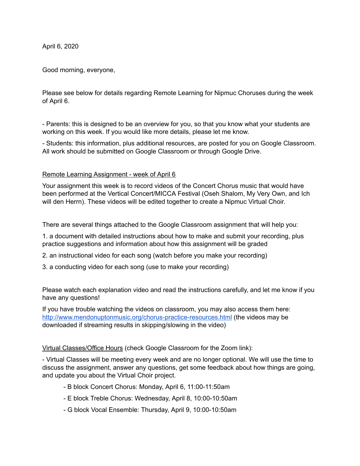April 6, 2020

Good morning, everyone,

Please see below for details regarding Remote Learning for Nipmuc Choruses during the week of April 6.

- Parents: this is designed to be an overview for you, so that you know what your students are working on this week. If you would like more details, please let me know.

- Students: this information, plus additional resources, are posted for you on Google Classroom. All work should be submitted on Google Classroom or through Google Drive.

## Remote Learning Assignment - week of April 6

Your assignment this week is to record videos of the Concert Chorus music that would have been performed at the Vertical Concert/MICCA Festival (Oseh Shalom, My Very Own, and Ich will den Herrn). These videos will be edited together to create a Nipmuc Virtual Choir.

There are several things attached to the Google Classroom assignment that will help you:

1. a document with detailed instructions about how to make and submit your recording, plus practice suggestions and information about how this assignment will be graded

2. an instructional video for each song (watch before you make your recording)

3. a conducting video for each song (use to make your recording)

Please watch each explanation video and read the instructions carefully, and let me know if you have any questions!

If you have trouble watching the videos on classroom, you may also access them here: <http://www.mendonuptonmusic.org/chorus-practice-resources.html> (the videos may be downloaded if streaming results in skipping/slowing in the video)

Virtual Classes/Office Hours (check Google Classroom for the Zoom link):

- Virtual Classes will be meeting every week and are no longer optional. We will use the time to discuss the assignment, answer any questions, get some feedback about how things are going, and update you about the Virtual Choir project.

- B block Concert Chorus: Monday, April 6, 11:00-11:50am
- E block Treble Chorus: Wednesday, April 8, 10:00-10:50am
- G block Vocal Ensemble: Thursday, April 9, 10:00-10:50am